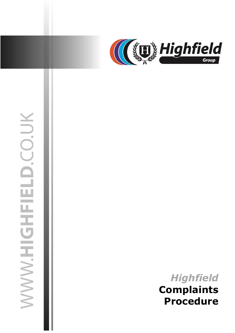

# WWW.HIGHFIELD.CO.UK

02 July 2019 jasonsprenger

# *Highfield* **Complaints Procedure**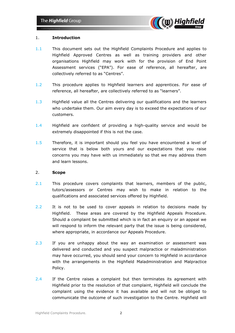

# 1. **Introduction**

- 1.1 This document sets out the Highfield Complaints Procedure and applies to Highfield Approved Centres as well as training providers and other organisations Highfield may work with for the provision of End Point Assessment services ("EPA"). For ease of reference, all hereafter, are collectively referred to as "Centres".
- 1.2 This procedure applies to Highfield learners and apprentices. For ease of reference, all hereafter, are collectively referred to as "learners".
- 1.3 Highfield value all the Centres delivering our qualifications and the learners who undertake them. Our aim every day is to exceed the expectations of our customers.
- 1.4 Highfield are confident of providing a high-quality service and would be extremely disappointed if this is not the case.
- 1.5 Therefore, it is important should you feel you have encountered a level of service that is below both yours and our expectations that you raise concerns you may have with us immediately so that we may address them and learn lessons.

# 2. **Scope**

- 2.1 This procedure covers complaints that learners, members of the public, tutors/assessors or Centres may wish to make in relation to the qualifications and associated services offered by Highfield.
- 2.2 It is not to be used to cover appeals in relation to decisions made by Highfield. These areas are covered by the Highfield Appeals Procedure. Should a complaint be submitted which is in fact an enquiry or an appeal we will respond to inform the relevant party that the issue is being considered, where appropriate, in accordance our Appeals Procedure.
- 2.3 If you are unhappy about the way an examination or assessment was delivered and conducted and you suspect malpractice or maladministration may have occurred, you should send your concern to Highfield in accordance with the arrangements in the Highfield Maladministration and Malpractice Policy.
- 2.4 If the Centre raises a complaint but then terminates its agreement with Highfield prior to the resolution of that complaint, Highfield will conclude the complaint using the evidence it has available and will not be obliged to communicate the outcome of such investigation to the Centre. Highfield will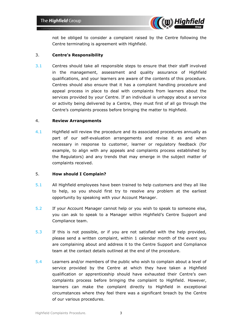

not be obliged to consider a complaint raised by the Centre following the Centre terminating is agreement with Highfield.

# 3. **Centre's Responsibility**

3.1 Centres should take all responsible steps to ensure that their staff involved in the management, assessment and quality assurance of Highfield qualifications, and your learners are aware of the contents of this procedure. Centres should also ensure that it has a complaint handling procedure and appeal process in place to deal with complaints from learners about the services provided by your Centre. If an individual is unhappy about a service or activity being delivered by a Centre, they must first of all go through the Centre's complaints process before bringing the matter to Highfield.

# 4. **Review Arrangements**

4.1 Highfield will review the procedure and its associated procedures annually as part of our self-evaluation arrangements and revise it as and when necessary in response to customer, learner or regulatory feedback (for example, to align with any appeals and complaints process established by the Regulators) and any trends that may emerge in the subject matter of complaints received.

# 5. **How should I Complain?**

- 5.1 All Highfield employees have been trained to help customers and they all like to help, so you should first try to resolve any problem at the earliest opportunity by speaking with your Account Manager.
- 5.2 If your Account Manager cannot help or you wish to speak to someone else, you can ask to speak to a Manager within Highfield's Centre Support and Compliance team.
- 5.3 If this is not possible, or if you are not satisfied with the help provided, please send a written complaint, within 1 calendar month of the event you are complaining about and address it to the Centre Support and Compliance team at the contact details outlined at the end of the procedure.
- 5.4 Learners and/or members of the public who wish to complain about a level of service provided by the Centre at which they have taken a Highfield qualification or apprenticeship should have exhausted their Centre's own complaints process before bringing the complaint to Highfield. However, learners can make the complaint directly to Highfield in exceptional circumstances where they feel there was a significant breach by the Centre of our various procedures.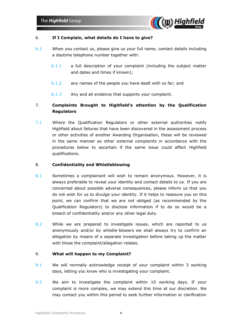

# 6. **If I Complain, what details do I have to give?**

- 6.1 When you contact us, please give us your full name, contact details including a daytime telephone number together with:
	- 6.1.1 a full description of your complaint (including the subject matter and dates and times if known);
	- 6.1.2 any names of the people you have dealt with so far; and
	- 6.1.3 Any and all evidence that supports your complaint.

# 7. **Complaints Brought to Highfield's attention by the Qualification Regulators**

7.1 Where the Qualification Regulators or other external authorities notify Highfield about failures that have been discovered in the assessment process or other activities of another Awarding Organisation, these will be reviewed in the same manner as other external complaints in accordance with the procedures below to ascertain if the same issue could affect Highfield qualifications.

# 8. **Confidentiality and Whistleblowing**

- 8.1 Sometimes a complainant will wish to remain anonymous. However, it is always preferable to reveal your identity and contact details to us. If you are concerned about possible adverse consequences, please inform us that you do not wish for us to divulge your identity. If it helps to reassure you on this point, we can confirm that we are not obliged (as recommended by the Qualification Regulators) to disclose information if to do so would be a breach of confidentiality and/or any other legal duty.
- 8.2 While we are prepared to investigate issues, which are reported to us anonymously and/or by whistle-blowers we shall always try to confirm an allegation by means of a separate investigation before taking up the matter with those the complaint/allegation relates.

# 9. **What will happen to my Complaint?**

- 9.1 We will normally acknowledge receipt of your complaint within 3 working days, letting you know who is investigating your complaint.
- 9.2 We aim to investigate the complaint within 10 working days. If your complaint is more complex, we may extend this time at our discretion. We may contact you within this period to seek further information or clarification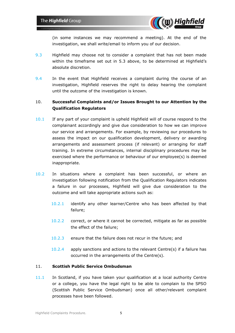

(in some instances we may recommend a meeting). At the end of the investigation, we shall write/email to inform you of our decision.

- 9.3 Highfield may choose not to consider a complaint that has not been made within the timeframe set out in 5.3 above, to be determined at Highfield's absolute discretion.
- 9.4 In the event that Highfield receives a complaint during the course of an investigation, Highfield reserves the right to delay hearing the complaint until the outcome of the investigation is known.

# 10. **Successful Complaints and/or Issues Brought to our Attention by the Qualification Regulators**

- 10.1 If any part of your complaint is upheld Highfield will of course respond to the complainant accordingly and give due consideration to how we can improve our service and arrangements. For example, by reviewing our procedures to assess the impact on our qualification development, delivery or awarding arrangements and assessment process (if relevant) or arranging for staff training. In extreme circumstances, internal disciplinary procedures may be exercised where the performance or behaviour of our employee(s) is deemed inappropriate.
- 10.2 In situations where a complaint has been successful, or where an investigation following notification from the Qualification Regulators indicates a failure in our processes, Highfield will give due consideration to the outcome and will take appropriate actions such as:
	- 10.2.1 identify any other learner/Centre who has been affected by that failure;
	- 10.2.2 correct, or where it cannot be corrected, mitigate as far as possible the effect of the failure;
	- 10.2.3 ensure that the failure does not recur in the future; and
	- 10.2.4 apply sanctions and actions to the relevant Centre(s) if a failure has occurred in the arrangements of the Centre(s).

# 11. **Scottish Public Service Ombudsman**

11.1 In Scotland, if you have taken your qualification at a local authority Centre or a college, you have the legal right to be able to complain to the SPSO (Scottish Public Service Ombudsman) once all other/relevant complaint processes have been followed.